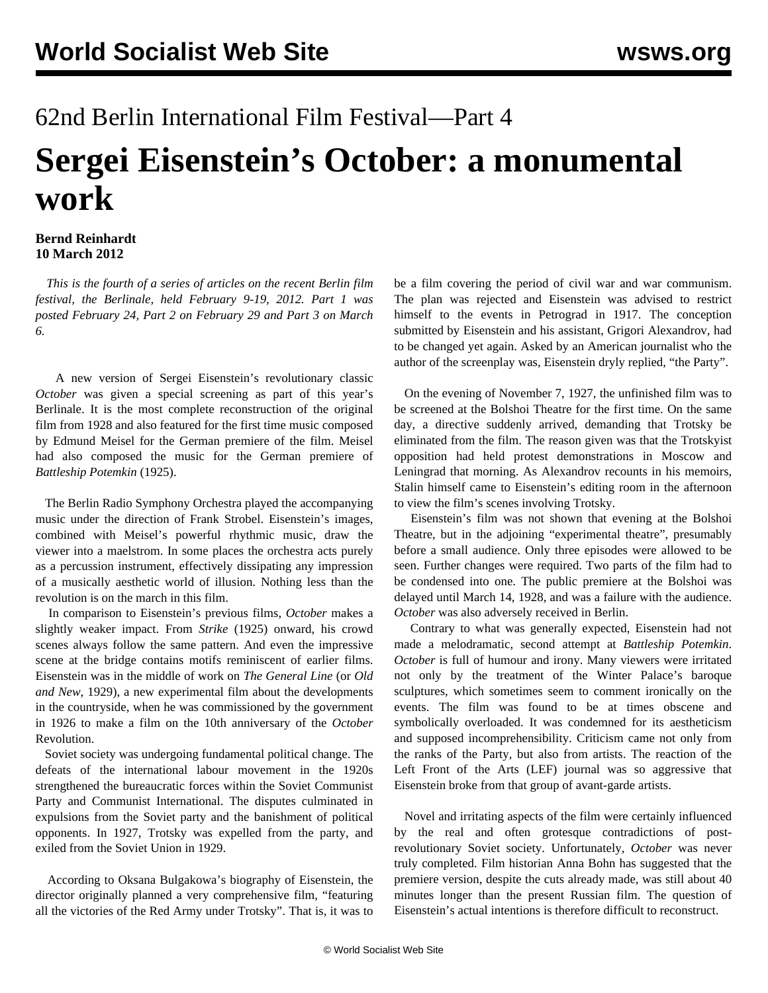## 62nd Berlin International Film Festival—Part 4 **Sergei Eisenstein's October: a monumental work**

## **Bernd Reinhardt 10 March 2012**

 *This is the fourth of a series of articles on the recent Berlin film festival, the Berlinale, held February 9-19, 2012. [Part 1](/en/articles/2012/feb2012/ber1-f24.shtml) was posted February 24, [Part 2](/en/articles/2012/feb2012/ber2-f29.shtml) on February 29 and [Part 3](/en/articles/2012/mar2012/ber3-m06.shtml) on March 6.*

 A new version of Sergei Eisenstein's revolutionary classic *October* was given a special screening as part of this year's Berlinale. It is the most complete reconstruction of the original film from 1928 and also featured for the first time music composed by Edmund Meisel for the German premiere of the film. Meisel had also composed the music for the German premiere of *Battleship Potemkin* (1925).

 The Berlin Radio Symphony Orchestra played the accompanying music under the direction of Frank Strobel. Eisenstein's images, combined with Meisel's powerful rhythmic music, draw the viewer into a maelstrom. In some places the orchestra acts purely as a percussion instrument, effectively dissipating any impression of a musically aesthetic world of illusion. Nothing less than the revolution is on the march in this film.

 In comparison to Eisenstein's previous films, *October* makes a slightly weaker impact. From *Strike* (1925) onward, his crowd scenes always follow the same pattern. And even the impressive scene at the bridge contains motifs reminiscent of earlier films. Eisenstein was in the middle of work on *The General Line* (or *Old and New*, 1929), a new experimental film about the developments in the countryside, when he was commissioned by the government in 1926 to make a film on the 10th anniversary of the *October* Revolution.

 Soviet society was undergoing fundamental political change. The defeats of the international labour movement in the 1920s strengthened the bureaucratic forces within the Soviet Communist Party and Communist International. The disputes culminated in expulsions from the Soviet party and the banishment of political opponents. In 1927, Trotsky was expelled from the party, and exiled from the Soviet Union in 1929.

 According to Oksana Bulgakowa's biography of Eisenstein, the director originally planned a very comprehensive film, "featuring all the victories of the Red Army under Trotsky". That is, it was to

be a film covering the period of civil war and war communism. The plan was rejected and Eisenstein was advised to restrict himself to the events in Petrograd in 1917. The conception submitted by Eisenstein and his assistant, Grigori Alexandrov, had to be changed yet again. Asked by an American journalist who the author of the screenplay was, Eisenstein dryly replied, "the Party".

 On the evening of November 7, 1927, the unfinished film was to be screened at the Bolshoi Theatre for the first time. On the same day, a directive suddenly arrived, demanding that Trotsky be eliminated from the film. The reason given was that the Trotskyist opposition had held protest demonstrations in Moscow and Leningrad that morning. As Alexandrov recounts in his memoirs, Stalin himself came to Eisenstein's editing room in the afternoon to view the film's scenes involving Trotsky.

 Eisenstein's film was not shown that evening at the Bolshoi Theatre, but in the adjoining "experimental theatre", presumably before a small audience. Only three episodes were allowed to be seen. Further changes were required. Two parts of the film had to be condensed into one. The public premiere at the Bolshoi was delayed until March 14, 1928, and was a failure with the audience. *October* was also adversely received in Berlin.

 Contrary to what was generally expected, Eisenstein had not made a melodramatic, second attempt at *Battleship Potemkin*. *October* is full of humour and irony. Many viewers were irritated not only by the treatment of the Winter Palace's baroque sculptures, which sometimes seem to comment ironically on the events. The film was found to be at times obscene and symbolically overloaded. It was condemned for its aestheticism and supposed incomprehensibility. Criticism came not only from the ranks of the Party, but also from artists. The reaction of the Left Front of the Arts (LEF) journal was so aggressive that Eisenstein broke from that group of avant-garde artists.

 Novel and irritating aspects of the film were certainly influenced by the real and often grotesque contradictions of postrevolutionary Soviet society. Unfortunately, *October* was never truly completed. Film historian Anna Bohn has suggested that the premiere version, despite the cuts already made, was still about 40 minutes longer than the present Russian film. The question of Eisenstein's actual intentions is therefore difficult to reconstruct.